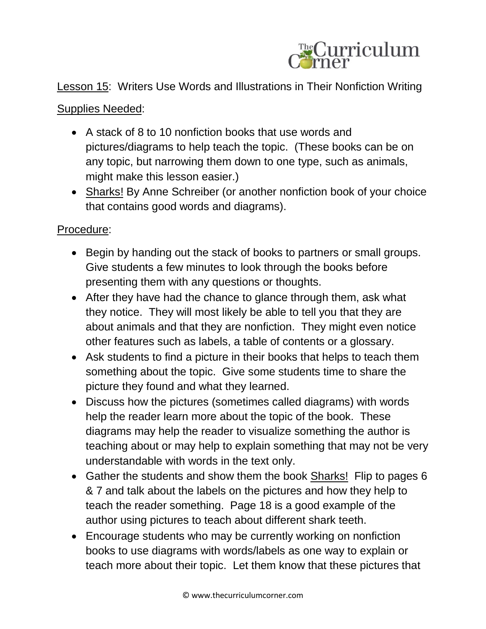

## Lesson 15: Writers Use Words and Illustrations in Their Nonfiction Writing

## Supplies Needed:

- A stack of 8 to 10 nonfiction books that use words and pictures/diagrams to help teach the topic. (These books can be on any topic, but narrowing them down to one type, such as animals, might make this lesson easier.)
- Sharks! By Anne Schreiber (or another nonfiction book of your choice that contains good words and diagrams).

## Procedure:

- Begin by handing out the stack of books to partners or small groups. Give students a few minutes to look through the books before presenting them with any questions or thoughts.
- After they have had the chance to glance through them, ask what they notice. They will most likely be able to tell you that they are about animals and that they are nonfiction. They might even notice other features such as labels, a table of contents or a glossary.
- Ask students to find a picture in their books that helps to teach them something about the topic. Give some students time to share the picture they found and what they learned.
- Discuss how the pictures (sometimes called diagrams) with words help the reader learn more about the topic of the book. These diagrams may help the reader to visualize something the author is teaching about or may help to explain something that may not be very understandable with words in the text only.
- Gather the students and show them the book Sharks! Flip to pages 6 & 7 and talk about the labels on the pictures and how they help to teach the reader something. Page 18 is a good example of the author using pictures to teach about different shark teeth.
- Encourage students who may be currently working on nonfiction books to use diagrams with words/labels as one way to explain or teach more about their topic. Let them know that these pictures that